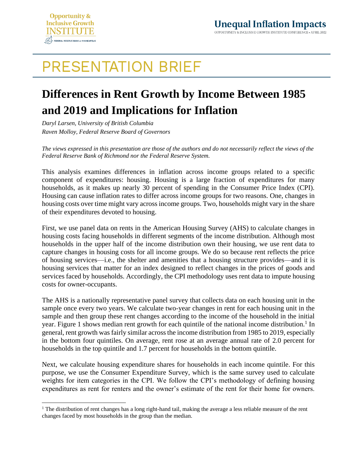

## **PRESENTATION BRIEF**

## **Differences in Rent Growth by Income Between 1985 and 2019 and Implications for Inflation**

*Daryl Larsen, University of British Columbia Raven Molloy, Federal Reserve Board of Governors*

*The views expressed in this presentation are those of the authors and do not necessarily reflect the views of the Federal Reserve Bank of Richmond nor the Federal Reserve System.*

This analysis examines differences in inflation across income groups related to a specific component of expenditures: housing. Housing is a large fraction of expenditures for many households, as it makes up nearly 30 percent of spending in the Consumer Price Index (CPI). Housing can cause inflation rates to differ across income groups for two reasons. One, changes in housing costs over time might vary across income groups. Two, households might vary in the share of their expenditures devoted to housing.

First, we use panel data on rents in the American Housing Survey (AHS) to calculate changes in housing costs facing households in different segments of the income distribution. Although most households in the upper half of the income distribution own their housing, we use rent data to capture changes in housing costs for all income groups. We do so because rent reflects the price of housing services—i.e., the shelter and amenities that a housing structure provides—and it is housing services that matter for an index designed to reflect changes in the prices of goods and services faced by households. Accordingly, the CPI methodology uses rent data to impute housing costs for owner-occupants.

The AHS is a nationally representative panel survey that collects data on each housing unit in the sample once every two years. We calculate two-year changes in rent for each housing unit in the sample and then group these rent changes according to the income of the household in the initial year. Figure 1 shows median rent growth for each quintile of the national income distribution.<sup>1</sup> In general, rent growth was fairly similar across the income distribution from 1985 to 2019, especially in the bottom four quintiles. On average, rent rose at an average annual rate of 2.0 percent for households in the top quintile and 1.7 percent for households in the bottom quintile.

Next, we calculate housing expenditure shares for households in each income quintile. For this purpose, we use the Consumer Expenditure Survey, which is the same survey used to calculate weights for item categories in the CPI. We follow the CPI's methodology of defining housing expenditures as rent for renters and the owner's estimate of the rent for their home for owners.

<sup>&</sup>lt;sup>1</sup> The distribution of rent changes has a long right-hand tail, making the average a less reliable measure of the rent changes faced by most households in the group than the median.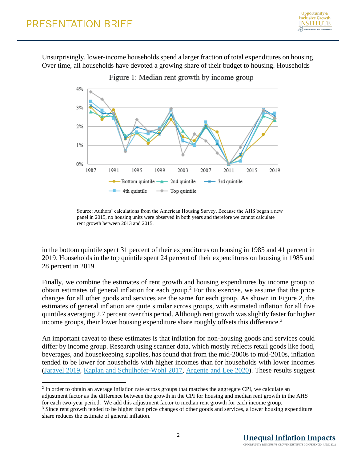Unsurprisingly, lower-income households spend a larger fraction of total expenditures on housing. Over time, all households have devoted a growing share of their budget to housing. Households



Source: Authors' calculations from the American Housing Survey. Because the AHS began a new panel in 2015, no housing units were observed in both years and therefore we cannot calculate rent growth between 2013 and 2015.

in the bottom quintile spent 31 percent of their expenditures on housing in 1985 and 41 percent in 2019. Households in the top quintile spent 24 percent of their expenditures on housing in 1985 and 28 percent in 2019.

Finally, we combine the estimates of rent growth and housing expenditures by income group to obtain estimates of general inflation for each group.<sup>2</sup> For this exercise, we assume that the price changes for all other goods and services are the same for each group. As shown in Figure 2, the estimates of general inflation are quite similar across groups, with estimated inflation for all five quintiles averaging 2.7 percent over this period. Although rent growth was slightly faster for higher income groups, their lower housing expenditure share roughly offsets this difference.<sup>3</sup>

An important caveat to these estimates is that inflation for non-housing goods and services could differ by income group. Research using scanner data, which mostly reflects retail goods like food, beverages, and housekeeping supplies, has found that from the mid-2000s to mid-2010s, inflation tended to be lower for households with higher incomes than for households with lower incomes [\(Jaravel 2019,](https://academic.oup.com/qje/article/134/2/715/5230867) [Kaplan and Schulhofer-Wohl 2017,](https://static1.squarespace.com/static/5d69437d65a29d0001ae6520/t/5daa04718d2d623f5b6915a9/1571423346825/kaplan_schulhoferwohl_jme_2017.pdf) [Argente and Lee 2020\)](https://academic.oup.com/jeea/article/19/2/913/5863149?searchresult=1). These results suggest

<sup>&</sup>lt;sup>2</sup> In order to obtain an average inflation rate across groups that matches the aggregate CPI, we calculate an adjustment factor as the difference between the growth in the CPI for housing and median rent growth in the AHS for each two-year period. We add this adjustment factor to median rent growth for each income group.

<sup>&</sup>lt;sup>3</sup> Since rent growth tended to be higher than price changes of other goods and services, a lower housing expenditure share reduces the estimate of general inflation.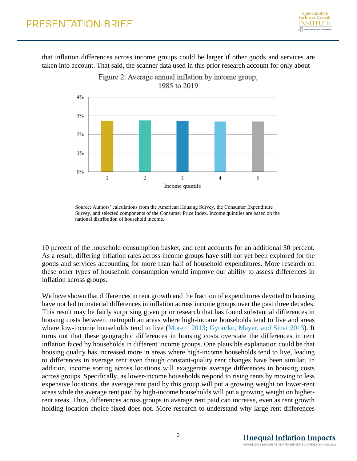that inflation differences across income groups could be larger if other goods and services are taken into account. That said, the scanner data used in this prior research account for only about



Source: Authors' calculations from the American Housing Survey, the Consumer Expenditure Survey, and selected components of the Consumer Price Index. Income quintiles are based on the national distribution of household income.

10 percent of the household consumption basket, and rent accounts for an additional 30 percent. As a result, differing inflation rates across income groups have still not yet been explored for the goods and services accounting for more than half of household expenditures. More research on these other types of household consumption would improve our ability to assess differences in inflation across groups.

We have shown that differences in rent growth and the fraction of expenditures devoted to housing have not led to material differences in inflation across income groups over the past three decades. This result may be fairly surprising given prior research that has found substantial differences in housing costs between metropolitan areas where high-income households tend to live and areas where low-income households tend to live [\(Moretti 2013;](https://www.aeaweb.org/articles?id=10.1257/app.5.1.65) [Gyourko, Mayer, and Sinai 2013\)](https://www.aeaweb.org/articles?id=10.1257/pol.5.4.167). It turns out that these geographic differences in housing costs overstate the differences in rent inflation faced by households in different income groups. One plausible explanation could be that housing quality has increased more in areas where high-income households tend to live, leading to differences in average rent even though constant-quality rent changes have been similar. In addition, income sorting across locations will exaggerate average differences in housing costs across groups. Specifically, as lower-income households respond to rising rents by moving to less expensive locations, the average rent paid by this group will put a growing weight on lower-rent areas while the average rent paid by high-income households will put a growing weight on higherrent areas. Thus, differences across groups in average rent paid can increase, even as rent growth holding location choice fixed does not. More research to understand why large rent differences